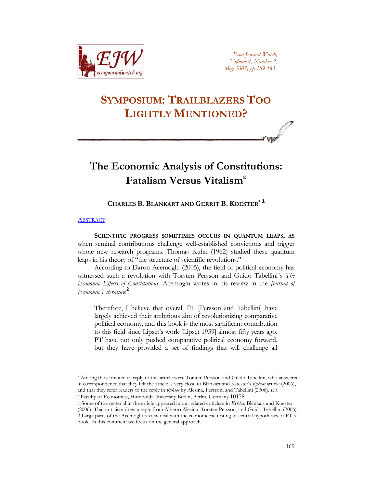

*Econ Journal Watch, Volume 4, Number 2, May 2007, pp 169-183.*

# **SYMPOSIUM: TRAILBLAZERS TOO LIGHTLY MENTIONED?**

## **The Economic Analysis of Constitutions: Fatalism Versus Vitalism**[ε](#page-0-0)

## **CHARLES B. BLANKART AND GERRIT B. KOESTER[\\*](#page-0-1) [1](#page-0-2)**

## **[ABSTRACT](http://www.econjournalwatch.org/pdf/BlankartKoesterAbstractMay2007.pdf)**

**SCIENTIFIC PROGRESS SOMETIMES OCCURS IN QUANTUM LEAPS, AS** when seminal contributions challenge well-established convictions and trigger whole new research programs. Thomas Kuhn (1962) studied these quantum leaps in his theory of "the structure of scientific revolutions."

According to Daron Acemoglu (2005), the field of political economy has witnessed such a revolution with Torsten Persson and Guido Tabellini´s *The Economic Effects of Constitutions*. Acemoglu writes in his review in the *Journal of Economic Literature*: [2](#page-0-3)

Therefore, I believe that overall PT [Persson and Tabellini] have largely achieved their ambitious aim of revolutionizing comparative political economy, and this book is the most significant contribution to this field since Lipset's work [Lipset 1959] almost fifty years ago. PT have not only pushed comparative political economy forward, but they have provided a set of findings that will challenge all

<span id="page-0-0"></span>ε Among those invited to reply to this article were Torsten Persson and Guido Tabellini, who answered in correspondence that they felt the article is very close to Blankart and Koester's *Kyklos* article (2006), and that they refer readers to the reply in *Kyklos* by Alesina, Persson, and Tabellini (2006). *Ed.*

<span id="page-0-1"></span>\* Faculty of Economics, Humboldt University Berlin, Berlin, Germany 10178

<span id="page-0-3"></span><span id="page-0-2"></span>1 Some of the material in the article appeared in our related criticism in *Kyklos*, Blankart and Koester (2006). That criticism drew a reply from Alberto Alesina, Torsten Persson, and Guido Tebellini (2006). 2 Large parts of the Acemoglu review deal with the econometric testing of central hypotheses of PT´s book. In this comment we focus on the general approach.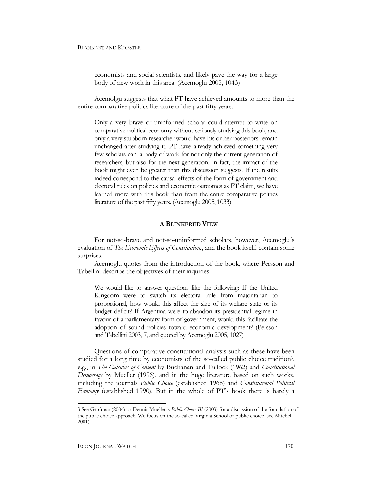## BLANKART AND KOESTER

economists and social scientists, and likely pave the way for a large body of new work in this area. (Acemoglu 2005, 1043)

Acemolgu suggests that what PT have achieved amounts to more than the entire comparative politics literature of the past fifty years:

Only a very brave or uninformed scholar could attempt to write on comparative political economy without seriously studying this book, and only a very stubborn researcher would have his or her posteriors remain unchanged after studying it. PT have already achieved something very few scholars can: a body of work for not only the current generation of researchers, but also for the next generation. In fact, the impact of the book might even be greater than this discussion suggests. If the results indeed correspond to the causal effects of the form of government and electoral rules on policies and economic outcomes as PT claim, we have learned more with this book than from the entire comparative politics literature of the past fifty years. (Acemoglu 2005, 1033)

## **A BLINKERED VIEW**

For not-so-brave and not-so-uninformed scholars, however, Acemoglu´s evaluation of *The Economic Effects of Constitutions*, and the book itself, contain some surprises.

Acemoglu quotes from the introduction of the book, where Persson and Tabellini describe the objectives of their inquiries:

We would like to answer questions like the following: If the United Kingdom were to switch its electoral rule from majoritarian to proportional, how would this affect the size of its welfare state or its budget deficit? If Argentina were to abandon its presidential regime in favour of a parliamentary form of government, would this facilitate the adoption of sound policies toward economic development? (Persson and Tabellini 2003, 7, and quoted by Acemoglu 2005, 1027)

Questions of comparative constitutional analysis such as these have been studied for a long time by economists of the so-called public choice traditio[n3,](#page-1-0) e.g., in *The Calculus of Consent* by Buchanan and Tullock (1962) and *Constitutional Democracy* by Mueller (1996), and in the huge literature based on such works, including the journals *Public Choice* (established 1968) and *Constitutional Political Economy* (established 1990). But in the whole of PT's book there is barely a

<span id="page-1-0"></span><sup>3</sup> See Grofman (2004) or Dennis Mueller´s *Public Choice III* (2003) for a discussion of the foundation of the public choice approach. We focus on the so-called Virginia School of public choice (see Mitchell 2001).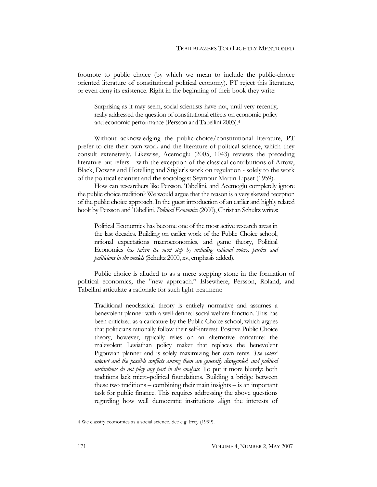footnote to public choice (by which we mean to include the public-choice oriented literature of constitutional political economy). PT reject this literature, or even deny its existence. Right in the beginning of their book they write:

Surprising as it may seem, social scientists have not, until very recently, really addressed the question of constitutional effects on economic policy and economic performance (Persson and Tabellini 2003)[.4](#page-2-0)

Without acknowledging the public-choice/constitutional literature, PT prefer to cite their own work and the literature of political science, which they consult extensively. Likewise, Acemoglu (2005, 1043) reviews the preceding literature but refers – with the exception of the classical contributions of Arrow, Black, Downs and Hotelling and Stigler's work on regulation - solely to the work of the political scientist and the sociologist Seymour Martin Lipset (1959).

How can researchers like Persson, Tabellini, and Acemoglu completely ignore the public choice tradition? We would argue that the reason is a very skewed reception of the public choice approach. In the guest introduction of an earlier and highly related book by Persson and Tabellini, *Political Economics* (2000), Christian Schultz writes:

Political Economics has become one of the most active research areas in the last decades. Building on earlier work of the Public Choice school, rational expectations macroeconomics, and game theory, Political Economics *has taken the next step by including rational voters, parties and politicians in the models* (Schultz 2000, xv, emphasis added).

Public choice is alluded to as a mere stepping stone in the formation of political economics, the "new approach." Elsewhere, Persson, Roland, and Tabellini articulate a rationale for such light treatment:

Traditional neoclassical theory is entirely normative and assumes a benevolent planner with a well-defined social welfare function. This has been criticized as a caricature by the Public Choice school, which argues that politicians rationally follow their self-interest. Positive Public Choice theory, however, typically relies on an alternative caricature: the malevolent Leviathan policy maker that replaces the benevolent Pigouvian planner and is solely maximizing her own rents. *The voters' interest and the possible conflicts among them are generally disregarded, and political institutions do not play any part in the analysis*. To put it more bluntly: both traditions lack micro-political foundations. Building a bridge between these two traditions – combining their main insights – is an important task for public finance. This requires addressing the above questions regarding how well democratic institutions align the interests of

<span id="page-2-0"></span><sup>4</sup> We classify economics as a social science. See e.g. Frey (1999).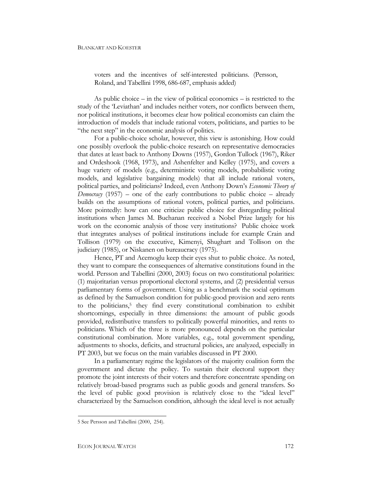voters and the incentives of self-interested politicians. (Persson, Roland, and Tabellini 1998, 686-687, emphasis added)

As public choice – in the view of political economics – is restricted to the study of the 'Leviathan' and includes neither voters, nor conflicts between them, nor political institutions, it becomes clear how political economists can claim the introduction of models that include rational voters, politicians, and parties to be "the next step" in the economic analysis of politics.

For a public-choice scholar, however, this view is astonishing. How could one possibly overlook the public-choice research on representative democracies that dates at least back to Anthony Downs (1957), Gordon Tullock (1967), Riker and Ordeshook (1968, 1973), and Ashenfelter and Kelley (1975), and covers a huge variety of models (e.g., deterministic voting models, probabilistic voting models, and legislative bargaining models) that all include rational voters, political parties, and politicians? Indeed, even Anthony Down's *Economic Theory of Democracy* (1957) – one of the early contributions to public choice – already builds on the assumptions of rational voters, political parties, and politicians. More pointedly: how can one criticize public choice for disregarding political institutions when James M. Buchanan received a Nobel Prize largely for his work on the economic analysis of those very institutions? Public choice work that integrates analyses of political institutions include for example Crain and Tollison (1979) on the executive, Kimenyi, Shughart and Tollison on the judiciary (1985), or Niskanen on bureaucracy (1975).

Hence, PT and Acemoglu keep their eyes shut to public choice. As noted, they want to compare the consequences of alternative constitutions found in the world. Persson and Tabellini (2000, 2003) focus on two constitutional polarities: (1) majoritarian versus proportional electoral systems, and (2) presidential versus parliamentary forms of government. Using as a benchmark the social optimum as defined by the Samuelson condition for public-good provision and zero rents to the politicians,<sup>5</sup> they find every constitutional combination to exhibit shortcomings, especially in three dimensions: the amount of public goods provided, redistributive transfers to politically powerful minorities, and rents to politicians. Which of the three is more pronounced depends on the particular constitutional combination. More variables, e.g., total government spending, adjustments to shocks, deficits, and structural policies, are analyzed, especially in PT 2003, but we focus on the main variables discussed in PT 2000.

In a parliamentary regime the legislators of the majority coalition form the government and dictate the policy. To sustain their electoral support they promote the joint interests of their voters and therefore concentrate spending on relatively broad-based programs such as public goods and general transfers. So the level of public good provision is relatively close to the "ideal level" characterized by the Samuelson condition, although the ideal level is not actually

<span id="page-3-0"></span><sup>5</sup> See Persson and Tabellini (2000, 254).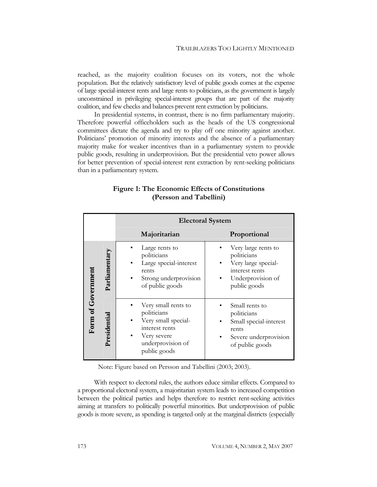reached, as the majority coalition focuses on its voters, not the whole population. But the relatively satisfactory level of public goods comes at the expense of large special-interest rents and large rents to politicians, as the government is largely unconstrained in privileging special-interest groups that are part of the majority coalition, and few checks and balances prevent rent extraction by politicians.

In presidential systems, in contrast, there is no firm parliamentary majority. Therefore powerful officeholders such as the heads of the US congressional committees dictate the agenda and try to play off one minority against another. Politicians' promotion of minority interests and the absence of a parliamentary majority make for weaker incentives than in a parliamentary system to provide public goods, resulting in underprovision. But the presidential veto power allows for better prevention of special-interest rent extraction by rent-seeking politicians than in a parliamentary system.

|                    |               | <b>Electoral System</b>                                                                                                         |                                                                                                                  |
|--------------------|---------------|---------------------------------------------------------------------------------------------------------------------------------|------------------------------------------------------------------------------------------------------------------|
|                    |               | Majoritarian                                                                                                                    | Proportional                                                                                                     |
| Form of Government | Parliamentary | Large rents to<br>politicians<br>Large special-interest<br>rents<br>Strong underprovision<br>of public goods                    | Very large rents to<br>politicians<br>Very large special-<br>interest rents<br>Underprovision of<br>public goods |
|                    | Presidential  | Very small rents to<br>politicians<br>Very small special-<br>interest rents<br>Very severe<br>underprovision of<br>public goods | Small rents to<br>politicians<br>Small special-interest<br>rents<br>Severe underprovision<br>of public goods     |

## **Figure 1: The Economic Effects of Constitutions (Persson and Tabellini)**

Note: Figure based on Persson and Tabellini (2003; 2003).

With respect to electoral rules, the authors educe similar effects. Compared to a proportional electoral system, a majoritarian system leads to increased competition between the political parties and helps therefore to restrict rent-seeking activities aiming at transfers to politically powerful minorities. But underprovision of public goods is more severe, as spending is targeted only at the marginal districts (especially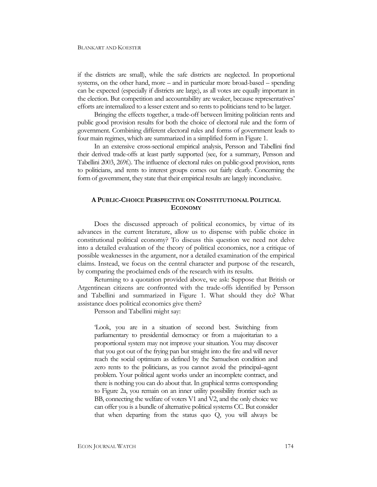### BLANKART AND KOESTER

if the districts are small), while the safe districts are neglected. In proportional systems, on the other hand, more – and in particular more broad-based – spending can be expected (especially if districts are large), as all votes are equally important in the election. But competition and accountability are weaker, because representatives' efforts are internalized to a lesser extent and so rents to politicians tend to be larger.

Bringing the effects together, a trade-off between limiting politician rents and public good provision results for both the choice of electoral rule and the form of government. Combining different electoral rules and forms of government leads to four main regimes, which are summarized in a simplified form in Figure 1.

In an extensive cross-sectional empirical analysis, Persson and Tabellini find their derived trade-offs at least partly supported (see, for a summary, Persson and Tabellini 2003, 269f.). The influence of electoral rules on public-good provision, rents to politicians, and rents to interest groups comes out fairly clearly. Concerning the form of government, they state that their empirical results are largely inconclusive.

## **A PUBLIC-CHOICE PERSPECTIVE ON CONSTITUTIONAL POLITICAL ECONOMY**

Does the discussed approach of political economics, by virtue of its advances in the current literature, allow us to dispense with public choice in constitutional political economy? To discuss this question we need not delve into a detailed evaluation of the theory of political economics, nor a critique of possible weaknesses in the argument, nor a detailed examination of the empirical claims. Instead, we focus on the central character and purpose of the research, by comparing the proclaimed ends of the research with its results.

Returning to a quotation provided above, we ask: Suppose that British or Argentinean citizens are confronted with the trade-offs identified by Persson and Tabellini and summarized in Figure 1. What should they do? What assistance does political economics give them?

Persson and Tabellini might say:

'Look, you are in a situation of second best. Switching from parliamentary to presidential democracy or from a majoritarian to a proportional system may not improve your situation. You may discover that you got out of the frying pan but straight into the fire and will never reach the social optimum as defined by the Samuelson condition and zero rents to the politicians, as you cannot avoid the principal–agent problem. Your political agent works under an incomplete contract, and there is nothing you can do about that. In graphical terms corresponding to Figure 2a, you remain on an inner utility possibility frontier such as BB, connecting the welfare of voters V1 and V2, and the only choice we can offer you is a bundle of alternative political systems CC. But consider that when departing from the status quo Q, you will always be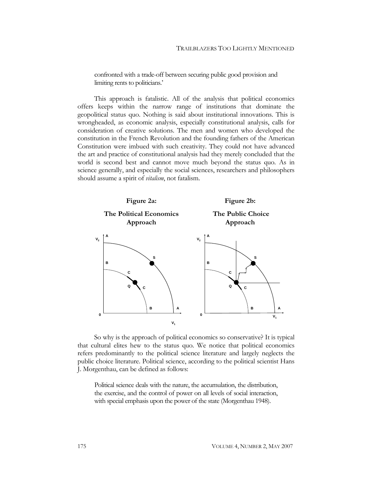confronted with a trade-off between securing public good provision and limiting rents to politicians.'

This approach is fatalistic. All of the analysis that political economics offers keeps within the narrow range of institutions that dominate the geopolitical status quo. Nothing is said about institutional innovations. This is wrongheaded, as economic analysis, especially constitutional analysis, calls for consideration of creative solutions. The men and women who developed the constitution in the French Revolution and the founding fathers of the American Constitution were imbued with such creativity. They could not have advanced the art and practice of constitutional analysis had they merely concluded that the world is second best and cannot move much beyond the status quo. As in science generally, and especially the social sciences, researchers and philosophers should assume a spirit of *vitalism*, not fatalism.



So why is the approach of political economics so conservative? It is typical that cultural elites hew to the status quo. We notice that political economics refers predominantly to the political science literature and largely neglects the public choice literature. Political science, according to the political scientist Hans J. Morgenthau, can be defined as follows:

Political science deals with the nature, the accumulation, the distribution, the exercise, and the control of power on all levels of social interaction, with special emphasis upon the power of the state (Morgenthau 1948).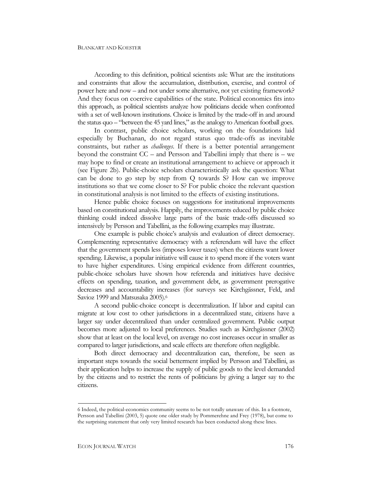According to this definition, political scientists ask: What are the institutions and constraints that allow the accumulation, distribution, exercise, and control of power here and now – and not under some alternative, not yet existing framework? And they focus on coercive capabilities of the state. Political economics fits into this approach, as political scientists analyze how politicians decide when confronted with a set of well-known institutions. Choice is limited by the trade-off in and around the status quo – "between the 45 yard lines," as the analogy to American football goes.

In contrast, public choice scholars, working on the foundations laid especially by Buchanan, do not regard status quo trade-offs as inevitable constraints, but rather as *challenges*. If there is a better potential arrangement beyond the constraint CC – and Persson and Tabellini imply that there is – we may hope to find or create an institutional arrangement to achieve or approach it (see Figure 2b). Public-choice scholars characteristically ask the question: What can be done to go step by step from Q towards S? How can we improve institutions so that we come closer to S? For public choice the relevant question in constitutional analysis is not limited to the effects of existing institutions.

Hence public choice focuses on suggestions for institutional improvements based on constitutional analysis. Happily, the improvements educed by public choice thinking could indeed dissolve large parts of the basic trade-offs discussed so intensively by Persson and Tabellini, as the following examples may illustrate.

One example is public choice's analysis and evaluation of direct democracy. Complementing representative democracy with a referendum will have the effect that the government spends less (imposes lower taxes) when the citizens want lower spending. Likewise, a popular initiative will cause it to spend more if the voters want to have higher expenditures. Using empirical evidence from different countries, public-choice scholars have shown how referenda and initiatives have decisive effects on spending, taxation, and government debt, as government prerogative decreases and accountability increases (for surveys see Kirchgässner, Feld, and Savioz 1999 and Matsusaka 2005)[.6](#page-7-0) 

A second public-choice concept is decentralization. If labor and capital can migrate at low cost to other jurisdictions in a decentralized state, citizens have a larger say under decentralized than under centralized government. Public output becomes more adjusted to local preferences. Studies such as Kirchgässner (2002) show that at least on the local level, on average no cost increases occur in smaller as compared to larger jurisdictions, and scale effects are therefore often negligible.

Both direct democracy and decentralization can, therefore, be seen as important steps towards the social betterment implied by Persson and Tabellini, as their application helps to increase the supply of public goods to the level demanded by the citizens and to restrict the rents of politicians by giving a larger say to the citizens.

<span id="page-7-0"></span><sup>6</sup> Indeed, the political-economics community seems to be not totally unaware of this. In a footnote, Persson and Tabellini (2003, 5) quote one older study by Pommerehne and Frey (1978), but come to the surprising statement that only very limited research has been conducted along these lines.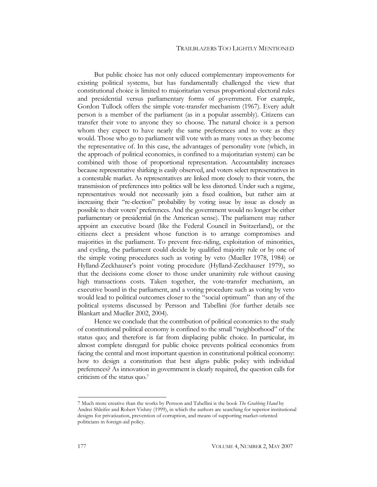#### TRAILBLAZERS TOO LIGHTLY MENTIONED

But public choice has not only educed complementary improvements for existing political systems, but has fundamentally challenged the view that constitutional choice is limited to majoritarian versus proportional electoral rules and presidential versus parliamentary forms of government. For example, Gordon Tullock offers the simple vote-transfer mechanism (1967). Every adult person is a member of the parliament (as in a popular assembly). Citizens can transfer their vote to anyone they so choose. The natural choice is a person whom they expect to have nearly the same preferences and to vote as they would. Those who go to parliament will vote with as many votes as they become the representative of. In this case, the advantages of personality vote (which, in the approach of political economics, is confined to a majoritarian system) can be combined with those of proportional representation. Accountability increases because representative shirking is easily observed, and voters select representatives in a contestable market. As representatives are linked more closely to their voters, the transmission of preferences into politics will be less distorted. Under such a regime, representatives would not necessarily join a fixed coalition, but rather aim at increasing their "re-election" probability by voting issue by issue as closely as possible to their voters' preferences. And the government would no longer be either parliamentary or presidential (in the American sense). The parliament may rather appoint an executive board (like the Federal Council in Switzerland), or the citizens elect a president whose function is to arrange compromises and majorities in the parliament. To prevent free-riding, exploitation of minorities, and cycling, the parliament could decide by qualified majority rule or by one of the simple voting procedures such as voting by veto (Mueller 1978, 1984) or Hylland-Zeckhauser's point voting procedure (Hylland-Zeckhauser 1979), so that the decisions come closer to those under unanimity rule without causing high transactions costs. Taken together, the vote-transfer mechanism, an executive board in the parliament, and a voting procedure such as voting by veto would lead to political outcomes closer to the "social optimum" than any of the political systems discussed by Persson and Tabellini (for further details see Blankart and Mueller 2002, 2004).

Hence we conclude that the contribution of political economics to the study of constitutional political economy is confined to the small "neighborhood" of the status quo; and therefore is far from displacing public choice. In particular, its almost complete disregard for public choice prevents political economics from facing the central and most important question in constitutional political economy: how to design a constitution that best aligns public policy with individual preferences? As innovation in government is clearly required, the question calls for criticism of the status quo. [7](#page-8-0) 

<span id="page-8-0"></span><sup>7</sup> Much more creative than the works by Persson and Tabellini is the book *The Grabbing Hand* by Andrei Shleifer and Robert Vishny (1999), in which the authors are searching for superior institutional designs for privatization, prevention of corruption, and means of supporting market-oriented politicians in foreign-aid policy.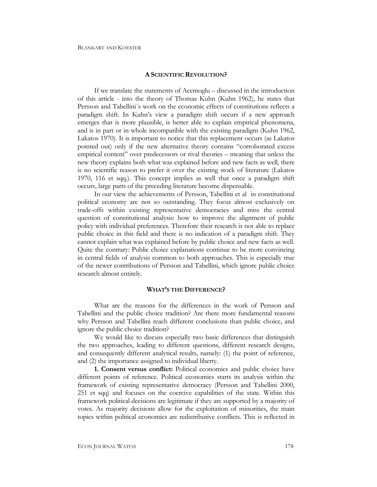## **A SCIENTIFIC REVOLUTION?**

If we translate the statements of Acemoglu – discussed in the introduction of this article - into the theory of Thomas Kuhn (Kuhn 1962), he states that Persson and Tabellini´s work on the economic effects of constitutions reflects a paradigm shift. In Kuhn's view a paradigm shift occurs if a new approach emerges that is more plausible, is better able to explain empirical phenomena, and is in part or in whole incompatible with the existing paradigm (Kuhn 1962, Lakatos 1970). It is important to notice that this replacement occurs (as Lakatos pointed out) only if the new alternative theory contains "corroborated excess empirical content" over predecessors or rival theories – meaning that unless the new theory explains both what was explained before and new facts as well, there is no scientific reason to prefer it over the existing stock of literature (Lakatos 1970, 116 et sqq.). This concept implies as well that once a paradigm shift occurs, large parts of the preceding literature become dispensable.

In our view the achievements of Persson, Tabellini et al in constitutional political economy are not so outstanding. They focus almost exclusively on trade-offs within existing representative democracies and miss the central question of constitutional analysis: how to improve the alignment of public policy with individual preferences. Therefore their research is not able to replace public choice in this field and there is no indication of a paradigm shift. They cannot explain what was explained before by public choice and new facts as well. Quite the contrary: Public choice explanations continue to be more convincing in central fields of analysis common to both approaches. This is especially true of the newer contributions of Persson and Tabellini, which ignore public choice research almost entirely.

#### **WHAT'S THE DIFFERENCE?**

What are the reasons for the differences in the work of Persson and Tabellini and the public choice tradition? Are there more fundamental reasons why Persson and Tabellini reach different conclusions than public choice, and ignore the public choice tradition?

We would like to discuss especially two basic differences that distinguish the two approaches, leading to different questions, different research designs, and consequently different analytical results, namely: (1) the point of reference, and (2) the importance assigned to individual liberty.

**1. Consent versus conflict:** Political economics and public choice have different points of reference. Political economics starts its analysis within the framework of existing representative democracy (Persson and Tabellini 2000, 251 et sqq) and focuses on the coercive capabilities of the state. Within this framework political decisions are legitimate if they are supported by a majority of votes. As majority decisions allow for the exploitation of minorities, the main topics within political economics are redistributive conflicts. This is reflected in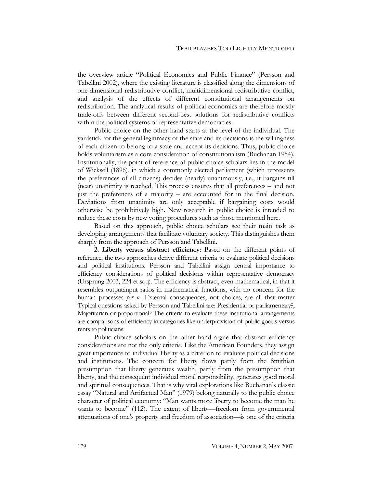the overview article "Political Economics and Public Finance" (Persson and Tabellini 2002), where the existing literature is classified along the dimensions of one-dimensional redistributive conflict, multidimensional redistributive conflict, and analysis of the effects of different constitutional arrangements on redistribution. The analytical results of political economics are therefore mostly trade-offs between different second-best solutions for redistributive conflicts within the political systems of representative democracies.

Public choice on the other hand starts at the level of the individual. The yardstick for the general legitimacy of the state and its decisions is the willingness of each citizen to belong to a state and accept its decisions. Thus, public choice holds voluntarism as a core consideration of constitutionalism (Buchanan 1954). Institutionally, the point of reference of public-choice scholars lies in the model of Wicksell (1896), in which a commonly elected parliament (which represents the preferences of all citizens) decides (nearly) unanimously, i.e., it bargains till (near) unanimity is reached. This process ensures that all preferences – and not just the preferences of a majority – are accounted for in the final decision. Deviations from unanimity are only acceptable if bargaining costs would otherwise be prohibitively high. New research in public choice is intended to reduce these costs by new voting procedures such as those mentioned here.

Based on this approach, public choice scholars see their main task as developing arrangements that facilitate voluntary society. This distinguishes them sharply from the approach of Persson and Tabellini.

**2. Liberty versus abstract efficiency:** Based on the different points of reference, the two approaches derive different criteria to evaluate political decisions and political institutions. Persson and Tabellini assign central importance to efficiency considerations of political decisions within representative democracy (Ursprung 2003, 224 et sqq). The efficiency is abstract, even mathematical, in that it resembles output:input ratios in mathematical functions, with no concern for the human processes *per se*. External consequences, not choices, are all that matter Typical questions asked by Persson and Tabellini are: Presidential or parliamentary?, Majoritarian or proportional? The criteria to evaluate these institutional arrangements are comparisons of efficiency in categories like underprovision of public goods versus rents to politicians.

Public choice scholars on the other hand argue that abstract efficiency considerations are not the only criteria. Like the American Founders, they assign great importance to individual liberty as a criterion to evaluate political decisions and institutions. The concern for liberty flows partly from the Smithian presumption that liberty generates wealth, partly from the presumption that liberty, and the consequent individual moral responsibility, generates good moral and spiritual consequences. That is why vital explorations like Buchanan's classic essay "Natural and Artifactual Man" (1979) belong naturally to the public choice character of political economy: "Man wants more liberty to become the man he wants to become" (112). The extent of liberty—freedom from governmental attenuations of one's property and freedom of association—is one of the criteria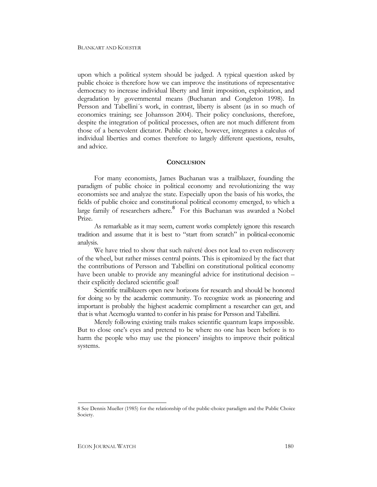upon which a political system should be judged. A typical question asked by public choice is therefore how we can improve the institutions of representative democracy to increase individual liberty and limit imposition, exploitation, and degradation by governmental means (Buchanan and Congleton 1998). In Persson and Tabellini´s work, in contrast, liberty is absent (as in so much of economics training; see Johansson 2004). Their policy conclusions, therefore, despite the integration of political processes, often are not much different from those of a benevolent dictator. Public choice, however, integrates a calculus of individual liberties and comes therefore to largely different questions, results, and advice.

#### **CONCLUSION**

For many economists, James Buchanan was a trailblazer, founding the paradigm of public choice in political economy and revolutionizing the way economists see and analyze the state. Especially upon the basis of his works, the fields of public choice and constitutional political economy emerged, to which a large family of researchers adhere.<sup>[8](#page-11-0)</sup> For this Buchanan was awarded a Nobel Prize.

As remarkable as it may seem, current works completely ignore this research tradition and assume that it is best to "start from scratch" in political-economic analysis.

We have tried to show that such naïveté does not lead to even rediscovery of the wheel, but rather misses central points. This is epitomized by the fact that the contributions of Persson and Tabellini on constitutional political economy have been unable to provide any meaningful advice for institutional decision – their explicitly declared scientific goal!

Scientific trailblazers open new horizons for research and should be honored for doing so by the academic community. To recognize work as pioneering and important is probably the highest academic compliment a researcher can get, and that is what Acemoglu wanted to confer in his praise for Persson and Tabellini.

Merely following existing trails makes scientific quantum leaps impossible. But to close one's eyes and pretend to be where no one has been before is to harm the people who may use the pioneers' insights to improve their political systems.

<span id="page-11-0"></span><sup>8</sup> See Dennis Mueller (1985) for the relationship of the public-choice paradigm and the Public Choice Society.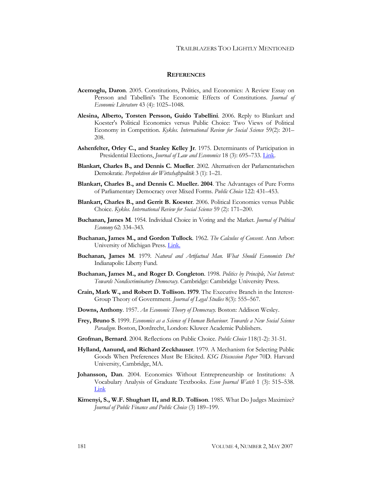## **REFERENCES**

- **Acemoglu, Daron**. 2005. Constitutions, Politics, and Economics: A Review Essay on Persson and Tabellini's The Economic Effects of Constitutions. *Journal of Economic Literature* 43 (4): 1025–1048.
- **Alesina, Alberto, Torsten Persson, Guido Tabellini**. 2006. Reply to Blankart and Koester's Political Economics versus Public Choice: Two Views of Political Economy in Competition. *Kyklos. International Review for Social Science* 59(2): 201– 208.
- **Ashenfelter, Orley C., and Stanley Kelley Jr**. 1975. Determinants of Participation in Presidential Elections, *Journal of Law and Economics* 18 (3): 695–733. [Link](http://ideas.repec.org/a/ucp/jlawec/v18y1975i3p695-733.html).
- **Blankart, Charles B., and Dennis C. Mueller**. 2002. Alternativen der Parlamentarischen Demokratie. *Perspektiven der Wirtschaftspolitik* 3 (1): 1–21.
- **Blankart, Charles B., and Dennis C. Mueller. 2004**. The Advantages of Pure Forms of Parliamentary Democracy over Mixed Forms. *Public Choice* 122: 431–453.
- **Blankart, Charles B., and Gerrit B. Koester**. 2006. Political Economics versus Public Choice. *Kyklos. International Review for Social Science* 59 (2): 171–200.
- **Buchanan, James M**. 1954. Individual Choice in Voting and the Market. *Journal of Political Economy* 62: 334–343.
- **Buchanan, James M., and Gordon Tullock**. 1962. *The Calculus of Consent*. Ann Arbor: University of Michigan Press. *[Link.](http://www.econlib.org/library/Buchanan/buchCv3Contents.html)*
- **Buchanan, James M**. 1979. *Natural and Artifactual Man. What Should Economists Do?* Indianapolis: Liberty Fund.
- **Buchanan, James M., and Roger D. Congleton**. 1998. *Politics by Principle, Not Interest: Towards Nondiscriminatory Democracy.* Cambridge: Cambridge University Press.
- **Crain, Mark W., and Robert D. Tollison. 1979**. The Executive Branch in the Interest-Group Theory of Government. *Journal of Legal Studies* 8(3): 555–567.
- **Downs, Anthony**. 1957. *An Economic Theory of Democracy.* Boston: Addison Wesley.
- **Frey, Bruno S**. 1999. *Economics as a Science of Human Behaviour. Towards a New Social Science Paradigm.* Boston, Dordrecht, London: Kluwer Academic Publishers.
- **Grofman, Bernard**. 2004. Reflections on Public Choice. *Public Choice* 118(1-2): 31-51.
- **Hylland, Aanund, and Richard Zeckhauser**. 1979. A Mechanism for Selecting Public Goods When Preferences Must Be Elicited. *KSG Discussion Paper* 70D. Harvard University, Cambridge, MA.
- **Johansson, Dan**. 2004. Economics Without Entrepreneurship or Institutions: A Vocabulary Analysis of Graduate Textbooks. *Econ Journal Watch* 1 (3): 515–538. [Link](http://www.econjournalwatch.org/main/intermedia.php?filename=JohanssonPractice1December2004.pdf)
- **Kimenyi, S., W.F. Shughart II, and R.D. Tollison**. 1985. What Do Judges Maximize? *Journal of Public Finance and Public Choice* (3) 189–199.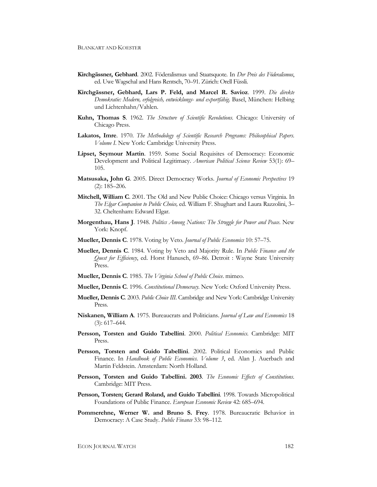- **Kirchgässner, Gebhard**. 2002. Föderalismus und Staatsquote. In *Der Preis des Föderalismus*, ed. Uwe Wagschal and Hans Rentsch, 70–91. Zürich: Orell Füssli.
- **Kirchgässner, Gebhard, Lars P. Feld, and Marcel R. Savioz**. 1999. *Die direkte Demokratie: Modern, erfolgreich, entwicklungs- und exportfähig*. Basel, München: Helbing und Lichtenhahn/Vahlen.
- **Kuhn, Thomas S**. 1962. *The Structure of Scientific Revolutions*. Chicago: University of Chicago Press.
- **Lakatos, Imre**. 1970. *The Methodology of Scientific Research Programs: Philosophical Papers*. *Volume I*. New York: Cambridge University Press.
- **Lipset, Seymour Martin**. 1959. Some Social Requisites of Democracy: Economic Development and Political Legitimacy. *American Political Science Review* 53(1): 69– 105.
- **Matsusaka, John G**. 2005. Direct Democracy Works. *Journal of Economic Perspectives* 19 (2): 185–206.
- **Mitchell, William C**. 2001. The Old and New Public Choice: Chicago versus Virginia. In *The Elgar Companion to Public Choice,* ed. William F. Shughart and Laura Razzolini, 3– 32. Cheltenham: Edward Elgar.
- **Morgenthau, Hans J**. 1948. *Politics Among Nations: The Struggle for Power and Peace*. New York: Knopf.
- **Mueller, Dennis C**. 1978. Voting by Veto. *Journal of Public Economics* 10: 57–75.
- **Mueller, Dennis C**. 1984. Voting by Veto and Majority Rule. In *Public Finance and the Quest for Efficiency*, ed. Horst Hanusch, 69–86. Detroit : Wayne State University Press.
- **Mueller, Dennis C**. 1985. *The Virginia School of Public Choice*. mimeo.
- **Mueller, Dennis C**. 1996. *Constitutional Democracy*. New York: Oxford University Press.
- **Mueller, Dennis C**. 2003. *Public Choice III*. Cambridge and New York: Cambridge University Press.
- **Niskanen, William A**. 1975. Bureaucrats and Politicians. *Journal of Law and Economics* 18 (3): 617–644.
- **Persson, Torsten and Guido Tabellini**. 2000. *Political Economics*. Cambridge: MIT Press.
- **Persson, Torsten and Guido Tabellini**. 2002. Political Economics and Public Finance. In *Handbook of Public Economics. Volume 3*, ed. Alan J. Auerbach and Martin Feldstein. Amsterdam: North Holland.
- **Persson, Torsten and Guido Tabellini. 2003**. *The Economic Effects of Constitutions*. Cambridge: MIT Press.
- **Persson, Torsten; Gerard Roland, and Guido Tabellini**. 1998. Towards Micropolitical Foundations of Public Finance. *European Economic Review* 42: 685–694.
- **Pommerehne, Werner W. and Bruno S. Frey**. 1978. Bureaucratic Behavior in Democracy: A Case Study. *Public Finance* 33: 98–112.

ECON JOURNAL WATCH 182